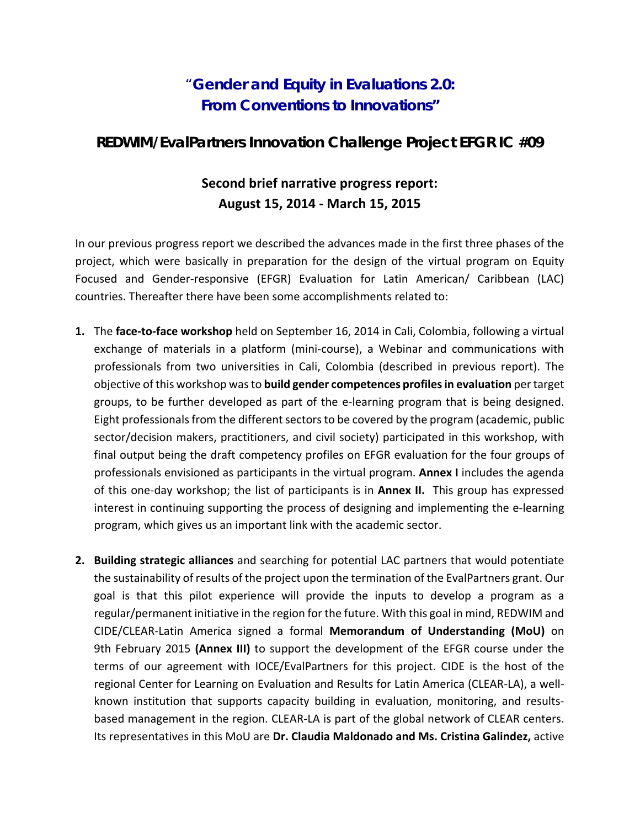## "**Gender and Equity in Evaluations 2.0: From Conventions to Innovations"**

## **REDWIM/EvalPartners Innovation Challenge Project EFGR IC #09**

## **Second brief narrative progress report: August 15, 2014 - March 15, 2015**

In our previous progress report we described the advances made in the first three phases of the project, which were basically in preparation for the design of the virtual program on Equity Focused and Gender-responsive (EFGR) Evaluation for Latin American/ Caribbean (LAC) countries. Thereafter there have been some accomplishments related to:

- **1.** The **face-to-face workshop** held on September 16, 2014 in Cali, Colombia, following a virtual exchange of materials in a platform (mini-course), a Webinar and communications with professionals from two universities in Cali, Colombia (described in previous report). The objective of this workshop was to **build gender competences profiles in evaluation** per target groups, to be further developed as part of the e-learning program that is being designed. Eight professionals from the different sectors to be covered by the program (academic, public sector/decision makers, practitioners, and civil society) participated in this workshop, with final output being the draft competency profiles on EFGR evaluation for the four groups of professionals envisioned as participants in the virtual program. **Annex I** includes the agenda of this one-day workshop; the list of participants is in **Annex II.** This group has expressed interest in continuing supporting the process of designing and implementing the e-learning program, which gives us an important link with the academic sector.
- **2. Building strategic alliances** and searching for potential LAC partners that would potentiate the sustainability of results of the project upon the termination of the EvalPartners grant. Our goal is that this pilot experience will provide the inputs to develop a program as a regular/permanent initiative in the region for the future. With this goal in mind, REDWIM and CIDE/CLEAR-Latin America signed a formal **Memorandum of Understanding (MoU)** on 9th February 2015 **(Annex III)** to support the development of the EFGR course under the terms of our agreement with IOCE/EvalPartners for this project. CIDE is the host of the regional Center for Learning on Evaluation and Results for Latin America (CLEAR-LA), a wellknown institution that supports capacity building in evaluation, monitoring, and resultsbased management in the region. CLEAR-LA is part of the global network of CLEAR centers. Its representatives in this MoU are **Dr. Claudia Maldonado and Ms. Cristina Galindez,** active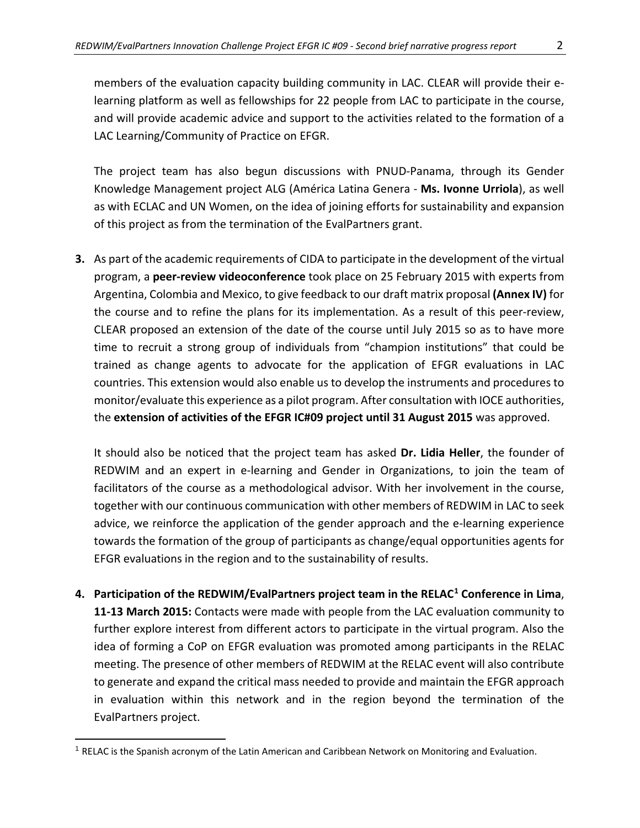members of the evaluation capacity building community in LAC. CLEAR will provide their elearning platform as well as fellowships for 22 people from LAC to participate in the course, and will provide academic advice and support to the activities related to the formation of a LAC Learning/Community of Practice on EFGR.

The project team has also begun discussions with PNUD-Panama, through its Gender Knowledge Management project ALG (América Latina Genera - **Ms. Ivonne Urriola**), as well as with ECLAC and UN Women, on the idea of joining efforts for sustainability and expansion of this project as from the termination of the EvalPartners grant.

**3.** As part of the academic requirements of CIDA to participate in the development of the virtual program, a **peer-review videoconference** took place on 25 February 2015 with experts from Argentina, Colombia and Mexico, to give feedback to our draft matrix proposal **(Annex IV)** for the course and to refine the plans for its implementation. As a result of this peer-review, CLEAR proposed an extension of the date of the course until July 2015 so as to have more time to recruit a strong group of individuals from "champion institutions" that could be trained as change agents to advocate for the application of EFGR evaluations in LAC countries. This extension would also enable us to develop the instruments and procedures to monitor/evaluate this experience as a pilot program. After consultation with IOCE authorities, the **extension of activities of the EFGR IC#09 project until 31 August 2015** was approved.

It should also be noticed that the project team has asked **Dr. Lidia Heller**, the founder of REDWIM and an expert in e-learning and Gender in Organizations, to join the team of facilitators of the course as a methodological advisor. With her involvement in the course, together with our continuous communication with other members of REDWIM in LAC to seek advice, we reinforce the application of the gender approach and the e-learning experience towards the formation of the group of participants as change/equal opportunities agents for EFGR evaluations in the region and to the sustainability of results.

**4. Participation of the REDWIM/EvalPartners project team in the RELAC[1](#page-1-0) Conference in Lima**, **11-13 March 2015:** Contacts were made with people from the LAC evaluation community to further explore interest from different actors to participate in the virtual program. Also the idea of forming a CoP on EFGR evaluation was promoted among participants in the RELAC meeting. The presence of other members of REDWIM at the RELAC event will also contribute to generate and expand the critical mass needed to provide and maintain the EFGR approach in evaluation within this network and in the region beyond the termination of the EvalPartners project.

 $\overline{\phantom{a}}$ 

<span id="page-1-0"></span><sup>&</sup>lt;sup>1</sup> RELAC is the Spanish acronym of the Latin American and Caribbean Network on Monitoring and Evaluation.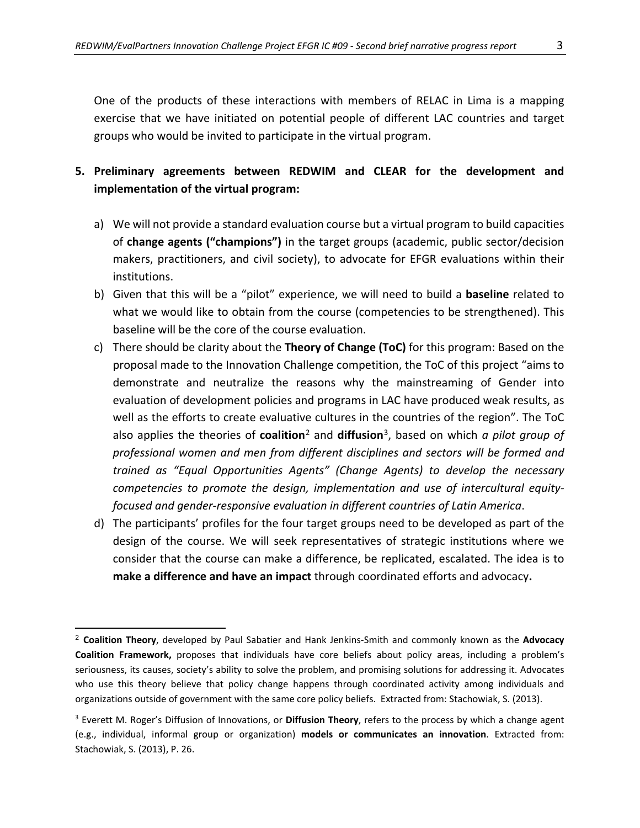One of the products of these interactions with members of RELAC in Lima is a mapping exercise that we have initiated on potential people of different LAC countries and target groups who would be invited to participate in the virtual program.

## **5. Preliminary agreements between REDWIM and CLEAR for the development and implementation of the virtual program:**

- a) We will not provide a standard evaluation course but a virtual program to build capacities of **change agents ("champions")** in the target groups (academic, public sector/decision makers, practitioners, and civil society), to advocate for EFGR evaluations within their institutions.
- b) Given that this will be a "pilot" experience, we will need to build a **baseline** related to what we would like to obtain from the course (competencies to be strengthened). This baseline will be the core of the course evaluation.
- c) There should be clarity about the **Theory of Change (ToC)** for this program: Based on the proposal made to the Innovation Challenge competition, the ToC of this project "aims to demonstrate and neutralize the reasons why the mainstreaming of Gender into evaluation of development policies and programs in LAC have produced weak results, as well as the efforts to create evaluative cultures in the countries of the region". The ToC also applies the theories of **coalition**[2](#page-2-0) and **diffusion**[3](#page-2-1), based on which *a pilot group of professional women and men from different disciplines and sectors will be formed and trained as "Equal Opportunities Agents" (Change Agents) to develop the necessary competencies to promote the design, implementation and use of intercultural equityfocused and gender-responsive evaluation in different countries of Latin America*.
- d) The participants' profiles for the four target groups need to be developed as part of the design of the course. We will seek representatives of strategic institutions where we consider that the course can make a difference, be replicated, escalated. The idea is to **make a difference and have an impact** through coordinated efforts and advocacy**.**

 $\overline{\phantom{a}}$ 

<span id="page-2-0"></span><sup>2</sup> **Coalition Theory**, developed by Paul Sabatier and Hank Jenkins-Smith and commonly known as the **Advocacy Coalition Framework,** proposes that individuals have core beliefs about policy areas, including a problem's seriousness, its causes, society's ability to solve the problem, and promising solutions for addressing it. Advocates who use this theory believe that policy change happens through coordinated activity among individuals and organizations outside of government with the same core policy beliefs. Extracted from: Stachowiak, S. (2013).

<span id="page-2-1"></span><sup>3</sup> Everett M. Roger's Diffusion of Innovations, or **Diffusion Theory**, refers to the process by which a change agent (e.g., individual, informal group or organization) **models or communicates an innovation**. Extracted from: Stachowiak, S. (2013), P. 26.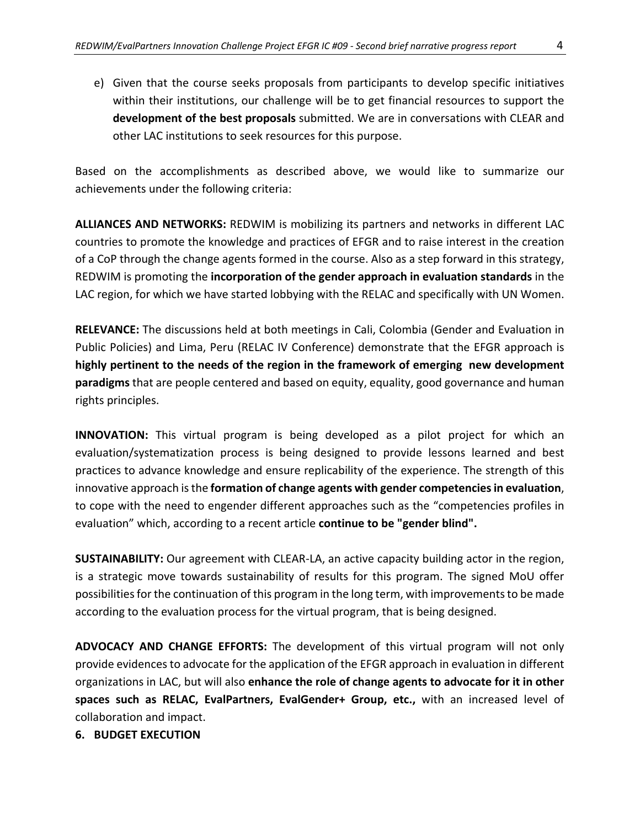e) Given that the course seeks proposals from participants to develop specific initiatives within their institutions, our challenge will be to get financial resources to support the **development of the best proposals** submitted. We are in conversations with CLEAR and other LAC institutions to seek resources for this purpose.

Based on the accomplishments as described above, we would like to summarize our achievements under the following criteria:

**ALLIANCES AND NETWORKS:** REDWIM is mobilizing its partners and networks in different LAC countries to promote the knowledge and practices of EFGR and to raise interest in the creation of a CoP through the change agents formed in the course. Also as a step forward in this strategy, REDWIM is promoting the **incorporation of the gender approach in evaluation standards** in the LAC region, for which we have started lobbying with the RELAC and specifically with UN Women.

**RELEVANCE:** The discussions held at both meetings in Cali, Colombia (Gender and Evaluation in Public Policies) and Lima, Peru (RELAC IV Conference) demonstrate that the EFGR approach is **highly pertinent to the needs of the region in the framework of emerging new development paradigms** that are people centered and based on equity, equality, good governance and human rights principles.

**INNOVATION:** This virtual program is being developed as a pilot project for which an evaluation/systematization process is being designed to provide lessons learned and best practices to advance knowledge and ensure replicability of the experience. The strength of this innovative approach is the **formation of change agents with gender competencies in evaluation**, to cope with the need to engender different approaches such as the "competencies profiles in evaluation" which, according to a recent article **continue to be "gender blind".**

**SUSTAINABILITY:** Our agreement with CLEAR-LA, an active capacity building actor in the region, is a strategic move towards sustainability of results for this program. The signed MoU offer possibilities for the continuation of this program in the long term, with improvements to be made according to the evaluation process for the virtual program, that is being designed.

**ADVOCACY AND CHANGE EFFORTS:** The development of this virtual program will not only provide evidences to advocate for the application of the EFGR approach in evaluation in different organizations in LAC, but will also **enhance the role of change agents to advocate for it in other spaces such as RELAC, EvalPartners, EvalGender+ Group, etc.,** with an increased level of collaboration and impact.

**6. BUDGET EXECUTION**